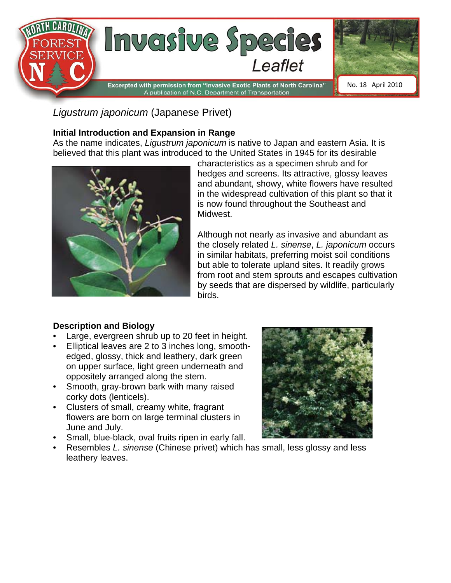

*Ligustrum japonicum* (Japanese Privet)

### **Initial Introduction and Expansion in Range**

As the name indicates, *Ligustrum japonicum* is native to Japan and eastern Asia. It is believed that this plant was introduced to the United States in 1945 for its desirable



characteristics as a specimen shrub and for hedges and screens. Its attractive, glossy leaves and abundant, showy, white flowers have resulted in the widespread cultivation of this plant so that it is now found throughout the Southeast and Midwest.

Although not nearly as invasive and abundant as the closely related *L. sinense*, *L. japonicum* occurs in similar habitats, preferring moist soil conditions but able to tolerate upland sites. It readily grows from root and stem sprouts and escapes cultivation by seeds that are dispersed by wildlife, particularly birds.

### **Description and Biology**

- Large, evergreen shrub up to 20 feet in height.
- Elliptical leaves are 2 to 3 inches long, smoothedged, glossy, thick and leathery, dark green on upper surface, light green underneath and oppositely arranged along the stem.
- Smooth, gray-brown bark with many raised corky dots (lenticels).
- Clusters of small, creamy white, fragrant flowers are born on large terminal clusters in June and July.
- Small, blue-black, oval fruits ripen in early fall.
- Resembles *L. sinense* (Chinese privet) which has small, less glossy and less leathery leaves.